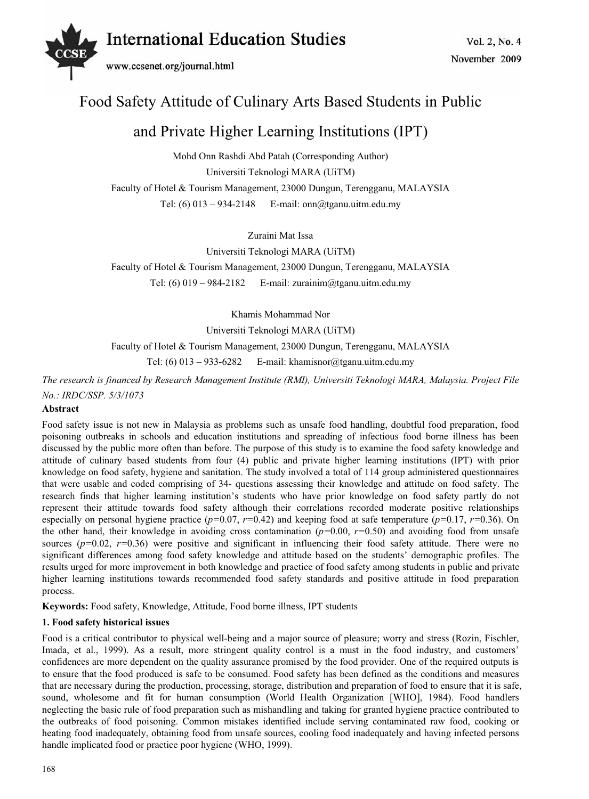# Vol. 2, No. 4 *International Education Studies*



# Food Safety Attitude of Culinary Arts Based Students in Public

# and Private Higher Learning Institutions (IPT)

Mohd Onn Rashdi Abd Patah (Corresponding Author) Universiti Teknologi MARA (UiTM) Faculty of Hotel & Tourism Management, 23000 Dungun, Terengganu, MALAYSIA Tel:  $(6)$  013 – 934-2148 E-mail: onn@tganu.uitm.edu.my

Zuraini Mat Issa

Universiti Teknologi MARA (UiTM)

Faculty of Hotel & Tourism Management, 23000 Dungun, Terengganu, MALAYSIA

Tel:  $(6)$  019 – 984-2182 E-mail: zurainim@tganu.uitm.edu.my

Khamis Mohammad Nor

Universiti Teknologi MARA (UiTM)

Faculty of Hotel & Tourism Management, 23000 Dungun, Terengganu, MALAYSIA

Tel:  $(6)$  013 – 933-6282 E-mail: khamisnor@tganu.uitm.edu.my

*The research is financed by Research Management Institute (RMI), Universiti Teknologi MARA, Malaysia. Project File No.: IRDC/SSP. 5/3/1073* 

# **Abstract**

Food safety issue is not new in Malaysia as problems such as unsafe food handling, doubtful food preparation, food poisoning outbreaks in schools and education institutions and spreading of infectious food borne illness has been discussed by the public more often than before. The purpose of this study is to examine the food safety knowledge and attitude of culinary based students from four (4) public and private higher learning institutions (IPT) with prior knowledge on food safety, hygiene and sanitation. The study involved a total of 114 group administered questionnaires that were usable and coded comprising of 34- questions assessing their knowledge and attitude on food safety. The research finds that higher learning institution's students who have prior knowledge on food safety partly do not represent their attitude towards food safety although their correlations recorded moderate positive relationships especially on personal hygiene practice (*p=*0.07, *r=*0.42) and keeping food at safe temperature (*p=*0.17, *r=*0.36). On the other hand, their knowledge in avoiding cross contamination (*p=*0.00, *r=*0.50) and avoiding food from unsafe sources (*p=*0.02, *r=*0.36) were positive and significant in influencing their food safety attitude. There were no significant differences among food safety knowledge and attitude based on the students' demographic profiles. The results urged for more improvement in both knowledge and practice of food safety among students in public and private higher learning institutions towards recommended food safety standards and positive attitude in food preparation process.

**Keywords:** Food safety, Knowledge, Attitude, Food borne illness, IPT students

# **1. Food safety historical issues**

Food is a critical contributor to physical well-being and a major source of pleasure; worry and stress (Rozin, Fischler, Imada, et al., 1999). As a result, more stringent quality control is a must in the food industry, and customers' confidences are more dependent on the quality assurance promised by the food provider. One of the required outputs is to ensure that the food produced is safe to be consumed. Food safety has been defined as the conditions and measures that are necessary during the production, processing, storage, distribution and preparation of food to ensure that it is safe, sound, wholesome and fit for human consumption (World Health Organization [WHO], 1984). Food handlers neglecting the basic rule of food preparation such as mishandling and taking for granted hygiene practice contributed to the outbreaks of food poisoning. Common mistakes identified include serving contaminated raw food, cooking or heating food inadequately, obtaining food from unsafe sources, cooling food inadequately and having infected persons handle implicated food or practice poor hygiene (WHO, 1999).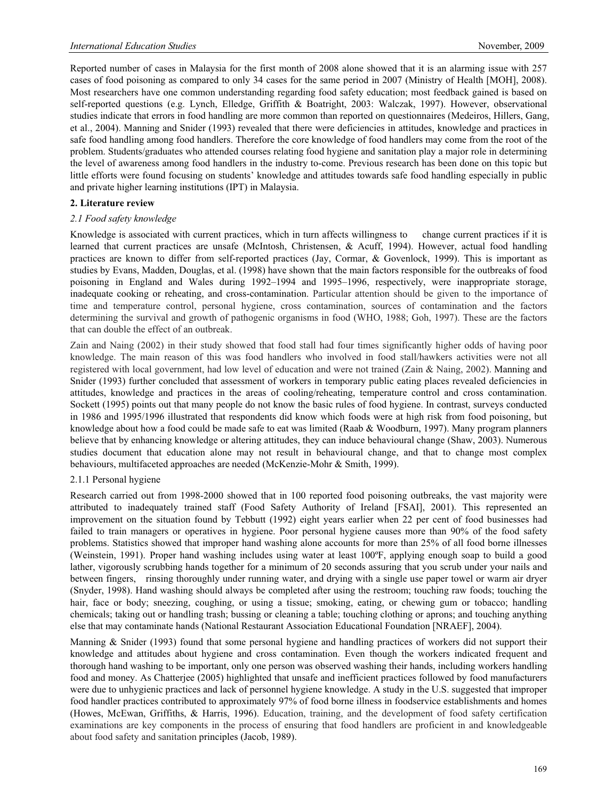Reported number of cases in Malaysia for the first month of 2008 alone showed that it is an alarming issue with 257 cases of food poisoning as compared to only 34 cases for the same period in 2007 (Ministry of Health [MOH], 2008). Most researchers have one common understanding regarding food safety education; most feedback gained is based on self-reported questions (e.g. Lynch, Elledge, Griffith & Boatright, 2003: Walczak, 1997). However, observational studies indicate that errors in food handling are more common than reported on questionnaires (Medeiros, Hillers, Gang, et al., 2004). Manning and Snider (1993) revealed that there were deficiencies in attitudes, knowledge and practices in safe food handling among food handlers. Therefore the core knowledge of food handlers may come from the root of the problem. Students/graduates who attended courses relating food hygiene and sanitation play a major role in determining the level of awareness among food handlers in the industry to-come. Previous research has been done on this topic but little efforts were found focusing on students' knowledge and attitudes towards safe food handling especially in public and private higher learning institutions (IPT) in Malaysia.

# **2. Literature review**

# *2.1 Food safety knowledge*

Knowledge is associated with current practices, which in turn affects willingness to change current practices if it is learned that current practices are unsafe (McIntosh, Christensen, & Acuff, 1994). However, actual food handling practices are known to differ from self-reported practices (Jay, Cormar, & Govenlock, 1999). This is important as studies by Evans, Madden, Douglas, et al. (1998) have shown that the main factors responsible for the outbreaks of food poisoning in England and Wales during 1992–1994 and 1995–1996, respectively, were inappropriate storage, inadequate cooking or reheating, and cross-contamination. Particular attention should be given to the importance of time and temperature control, personal hygiene, cross contamination, sources of contamination and the factors determining the survival and growth of pathogenic organisms in food (WHO, 1988; Goh, 1997). These are the factors that can double the effect of an outbreak.

Zain and Naing (2002) in their study showed that food stall had four times significantly higher odds of having poor knowledge. The main reason of this was food handlers who involved in food stall/hawkers activities were not all registered with local government, had low level of education and were not trained (Zain & Naing, 2002). Manning and Snider (1993) further concluded that assessment of workers in temporary public eating places revealed deficiencies in attitudes, knowledge and practices in the areas of cooling/reheating, temperature control and cross contamination. Sockett (1995) points out that many people do not know the basic rules of food hygiene. In contrast, surveys conducted in 1986 and 1995/1996 illustrated that respondents did know which foods were at high risk from food poisoning, but knowledge about how a food could be made safe to eat was limited (Raab & Woodburn, 1997). Many program planners believe that by enhancing knowledge or altering attitudes, they can induce behavioural change (Shaw, 2003). Numerous studies document that education alone may not result in behavioural change, and that to change most complex behaviours, multifaceted approaches are needed (McKenzie-Mohr & Smith, 1999).

#### 2.1.1 Personal hygiene

Research carried out from 1998-2000 showed that in 100 reported food poisoning outbreaks, the vast majority were attributed to inadequately trained staff (Food Safety Authority of Ireland [FSAI], 2001). This represented an improvement on the situation found by Tebbutt (1992) eight years earlier when 22 per cent of food businesses had failed to train managers or operatives in hygiene. Poor personal hygiene causes more than 90% of the food safety problems. Statistics showed that improper hand washing alone accounts for more than 25% of all food borne illnesses (Weinstein, 1991). Proper hand washing includes using water at least 100ºF, applying enough soap to build a good lather, vigorously scrubbing hands together for a minimum of 20 seconds assuring that you scrub under your nails and between fingers, rinsing thoroughly under running water, and drying with a single use paper towel or warm air dryer (Snyder, 1998). Hand washing should always be completed after using the restroom; touching raw foods; touching the hair, face or body; sneezing, coughing, or using a tissue; smoking, eating, or chewing gum or tobacco; handling chemicals; taking out or handling trash; bussing or cleaning a table; touching clothing or aprons; and touching anything else that may contaminate hands (National Restaurant Association Educational Foundation [NRAEF], 2004).

Manning & Snider (1993) found that some personal hygiene and handling practices of workers did not support their knowledge and attitudes about hygiene and cross contamination. Even though the workers indicated frequent and thorough hand washing to be important, only one person was observed washing their hands, including workers handling food and money. As Chatterjee (2005) highlighted that unsafe and inefficient practices followed by food manufacturers were due to unhygienic practices and lack of personnel hygiene knowledge. A study in the U.S. suggested that improper food handler practices contributed to approximately 97% of food borne illness in foodservice establishments and homes (Howes, McEwan, Griffiths, & Harris, 1996). Education, training, and the development of food safety certification examinations are key components in the process of ensuring that food handlers are proficient in and knowledgeable about food safety and sanitation principles (Jacob, 1989).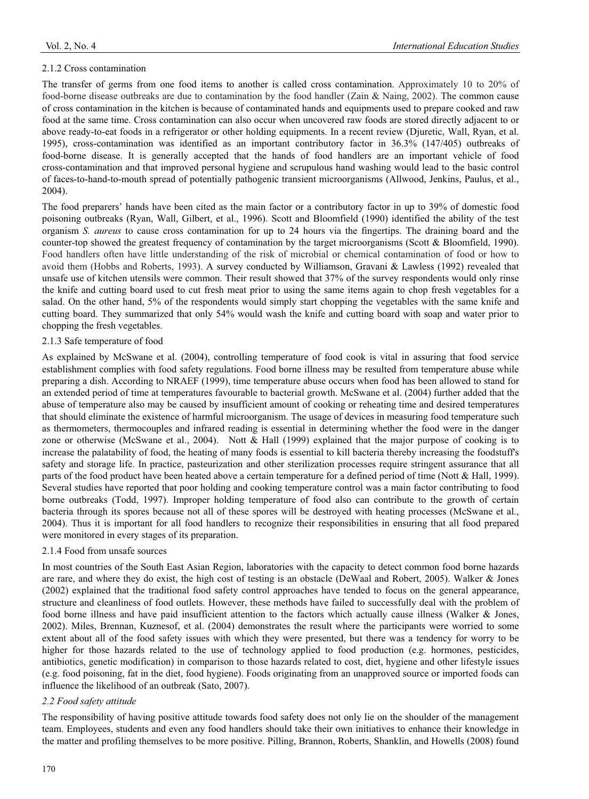# 2.1.2 Cross contamination

The transfer of germs from one food items to another is called cross contamination. Approximately 10 to 20% of food-borne disease outbreaks are due to contamination by the food handler (Zain & Naing, 2002). The common cause of cross contamination in the kitchen is because of contaminated hands and equipments used to prepare cooked and raw food at the same time. Cross contamination can also occur when uncovered raw foods are stored directly adjacent to or above ready-to-eat foods in a refrigerator or other holding equipments. In a recent review (Djuretic, Wall, Ryan, et al. 1995), cross-contamination was identified as an important contributory factor in 36.3% (147/405) outbreaks of food-borne disease. It is generally accepted that the hands of food handlers are an important vehicle of food cross-contamination and that improved personal hygiene and scrupulous hand washing would lead to the basic control of faces-to-hand-to-mouth spread of potentially pathogenic transient microorganisms (Allwood, Jenkins, Paulus, et al., 2004).

The food preparers' hands have been cited as the main factor or a contributory factor in up to 39% of domestic food poisoning outbreaks (Ryan, Wall, Gilbert, et al., 1996). Scott and Bloomfield (1990) identified the ability of the test organism *S. aureus* to cause cross contamination for up to 24 hours via the fingertips. The draining board and the counter-top showed the greatest frequency of contamination by the target microorganisms (Scott & Bloomfield, 1990). Food handlers often have little understanding of the risk of microbial or chemical contamination of food or how to avoid them (Hobbs and Roberts, 1993). A survey conducted by Williamson, Gravani & Lawless (1992) revealed that unsafe use of kitchen utensils were common. Their result showed that 37% of the survey respondents would only rinse the knife and cutting board used to cut fresh meat prior to using the same items again to chop fresh vegetables for a salad. On the other hand, 5% of the respondents would simply start chopping the vegetables with the same knife and cutting board. They summarized that only 54% would wash the knife and cutting board with soap and water prior to chopping the fresh vegetables.

# 2.1.3 Safe temperature of food

As explained by McSwane et al. (2004), controlling temperature of food cook is vital in assuring that food service establishment complies with food safety regulations. Food borne illness may be resulted from temperature abuse while preparing a dish. According to NRAEF (1999), time temperature abuse occurs when food has been allowed to stand for an extended period of time at temperatures favourable to bacterial growth. McSwane et al. (2004) further added that the abuse of temperature also may be caused by insufficient amount of cooking or reheating time and desired temperatures that should eliminate the existence of harmful microorganism. The usage of devices in measuring food temperature such as thermometers, thermocouples and infrared reading is essential in determining whether the food were in the danger zone or otherwise (McSwane et al., 2004). Nott & Hall (1999) explained that the major purpose of cooking is to increase the palatability of food, the heating of many foods is essential to kill bacteria thereby increasing the foodstuff's safety and storage life. In practice, pasteurization and other sterilization processes require stringent assurance that all parts of the food product have been heated above a certain temperature for a defined period of time (Nott & Hall, 1999). Several studies have reported that poor holding and cooking temperature control was a main factor contributing to food borne outbreaks (Todd, 1997). Improper holding temperature of food also can contribute to the growth of certain bacteria through its spores because not all of these spores will be destroyed with heating processes (McSwane et al., 2004). Thus it is important for all food handlers to recognize their responsibilities in ensuring that all food prepared were monitored in every stages of its preparation.

# 2.1.4 Food from unsafe sources

In most countries of the South East Asian Region, laboratories with the capacity to detect common food borne hazards are rare, and where they do exist, the high cost of testing is an obstacle (DeWaal and Robert, 2005). Walker & Jones (2002) explained that the traditional food safety control approaches have tended to focus on the general appearance, structure and cleanliness of food outlets. However, these methods have failed to successfully deal with the problem of food borne illness and have paid insufficient attention to the factors which actually cause illness (Walker & Jones, 2002). Miles, Brennan, Kuznesof, et al. (2004) demonstrates the result where the participants were worried to some extent about all of the food safety issues with which they were presented, but there was a tendency for worry to be higher for those hazards related to the use of technology applied to food production (e.g. hormones, pesticides, antibiotics, genetic modification) in comparison to those hazards related to cost, diet, hygiene and other lifestyle issues (e.g. food poisoning, fat in the diet, food hygiene). Foods originating from an unapproved source or imported foods can influence the likelihood of an outbreak (Sato, 2007).

# *2.2 Food safety attitude*

The responsibility of having positive attitude towards food safety does not only lie on the shoulder of the management team. Employees, students and even any food handlers should take their own initiatives to enhance their knowledge in the matter and profiling themselves to be more positive. Pilling, Brannon, Roberts, Shanklin, and Howells (2008) found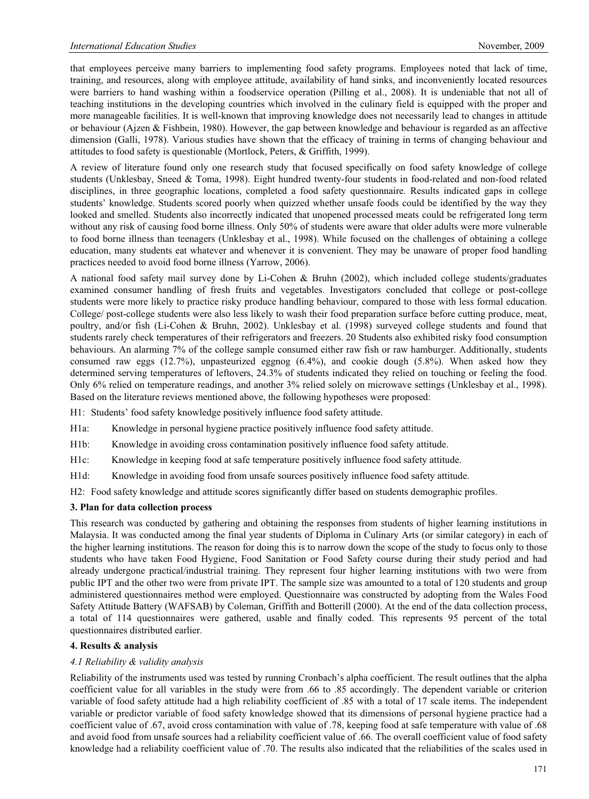that employees perceive many barriers to implementing food safety programs. Employees noted that lack of time, training, and resources, along with employee attitude, availability of hand sinks, and inconveniently located resources were barriers to hand washing within a foodservice operation (Pilling et al., 2008). It is undeniable that not all of teaching institutions in the developing countries which involved in the culinary field is equipped with the proper and more manageable facilities. It is well-known that improving knowledge does not necessarily lead to changes in attitude or behaviour (Ajzen & Fishbein, 1980). However, the gap between knowledge and behaviour is regarded as an affective dimension (Galli, 1978). Various studies have shown that the efficacy of training in terms of changing behaviour and attitudes to food safety is questionable (Mortlock, Peters, & Griffith, 1999).

A review of literature found only one research study that focused specifically on food safety knowledge of college students (Unklesbay, Sneed & Toma, 1998). Eight hundred twenty-four students in food-related and non-food related disciplines, in three geographic locations, completed a food safety questionnaire. Results indicated gaps in college students' knowledge. Students scored poorly when quizzed whether unsafe foods could be identified by the way they looked and smelled. Students also incorrectly indicated that unopened processed meats could be refrigerated long term without any risk of causing food borne illness. Only 50% of students were aware that older adults were more vulnerable to food borne illness than teenagers (Unklesbay et al., 1998). While focused on the challenges of obtaining a college education, many students eat whatever and whenever it is convenient. They may be unaware of proper food handling practices needed to avoid food borne illness (Yarrow, 2006).

A national food safety mail survey done by Li-Cohen & Bruhn (2002), which included college students/graduates examined consumer handling of fresh fruits and vegetables. Investigators concluded that college or post-college students were more likely to practice risky produce handling behaviour, compared to those with less formal education. College/ post-college students were also less likely to wash their food preparation surface before cutting produce, meat, poultry, and/or fish (Li-Cohen & Bruhn, 2002). Unklesbay et al. (1998) surveyed college students and found that students rarely check temperatures of their refrigerators and freezers. 20 Students also exhibited risky food consumption behaviours. An alarming 7% of the college sample consumed either raw fish or raw hamburger. Additionally, students consumed raw eggs (12.7%), unpasteurized eggnog (6.4%), and cookie dough (5.8%). When asked how they determined serving temperatures of leftovers, 24.3% of students indicated they relied on touching or feeling the food. Only 6% relied on temperature readings, and another 3% relied solely on microwave settings (Unklesbay et al., 1998). Based on the literature reviews mentioned above, the following hypotheses were proposed:

H1: Students' food safety knowledge positively influence food safety attitude.

- H1a: Knowledge in personal hygiene practice positively influence food safety attitude.
- H1b: Knowledge in avoiding cross contamination positively influence food safety attitude.
- H1c: Knowledge in keeping food at safe temperature positively influence food safety attitude.
- H1d: Knowledge in avoiding food from unsafe sources positively influence food safety attitude.

H2: Food safety knowledge and attitude scores significantly differ based on students demographic profiles.

#### **3. Plan for data collection process**

This research was conducted by gathering and obtaining the responses from students of higher learning institutions in Malaysia. It was conducted among the final year students of Diploma in Culinary Arts (or similar category) in each of the higher learning institutions. The reason for doing this is to narrow down the scope of the study to focus only to those students who have taken Food Hygiene, Food Sanitation or Food Safety course during their study period and had already undergone practical/industrial training. They represent four higher learning institutions with two were from public IPT and the other two were from private IPT. The sample size was amounted to a total of 120 students and group administered questionnaires method were employed. Questionnaire was constructed by adopting from the Wales Food Safety Attitude Battery (WAFSAB) by Coleman, Griffith and Botterill (2000). At the end of the data collection process, a total of 114 questionnaires were gathered, usable and finally coded. This represents 95 percent of the total questionnaires distributed earlier.

#### **4. Results & analysis**

#### *4.1 Reliability & validity analysis*

Reliability of the instruments used was tested by running Cronbach's alpha coefficient. The result outlines that the alpha coefficient value for all variables in the study were from .66 to .85 accordingly. The dependent variable or criterion variable of food safety attitude had a high reliability coefficient of .85 with a total of 17 scale items. The independent variable or predictor variable of food safety knowledge showed that its dimensions of personal hygiene practice had a coefficient value of .67, avoid cross contamination with value of .78, keeping food at safe temperature with value of .68 and avoid food from unsafe sources had a reliability coefficient value of .66. The overall coefficient value of food safety knowledge had a reliability coefficient value of .70. The results also indicated that the reliabilities of the scales used in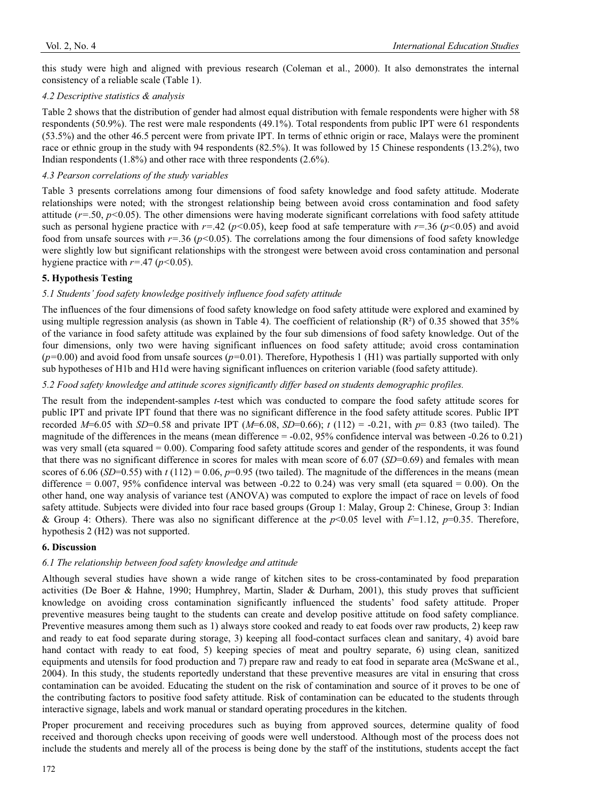this study were high and aligned with previous research (Coleman et al., 2000). It also demonstrates the internal consistency of a reliable scale (Table 1).

#### *4.2 Descriptive statistics & analysis*

Table 2 shows that the distribution of gender had almost equal distribution with female respondents were higher with 58 respondents (50.9%). The rest were male respondents (49.1%). Total respondents from public IPT were 61 respondents (53.5%) and the other 46.5 percent were from private IPT. In terms of ethnic origin or race, Malays were the prominent race or ethnic group in the study with 94 respondents (82.5%). It was followed by 15 Chinese respondents (13.2%), two Indian respondents (1.8%) and other race with three respondents (2.6%).

# *4.3 Pearson correlations of the study variables*

Table 3 presents correlations among four dimensions of food safety knowledge and food safety attitude. Moderate relationships were noted; with the strongest relationship being between avoid cross contamination and food safety attitude (*r=*.50, *p<*0.05). The other dimensions were having moderate significant correlations with food safety attitude such as personal hygiene practice with *r=*.42 (*p<*0.05), keep food at safe temperature with *r=*.36 (*p<*0.05) and avoid food from unsafe sources with  $r=36$  ( $p<0.05$ ). The correlations among the four dimensions of food safety knowledge were slightly low but significant relationships with the strongest were between avoid cross contamination and personal hygiene practice with  $r = .47$  ( $p < 0.05$ ).

# **5. Hypothesis Testing**

# *5.1 Students' food safety knowledge positively influence food safety attitude*

The influences of the four dimensions of food safety knowledge on food safety attitude were explored and examined by using multiple regression analysis (as shown in Table 4). The coefficient of relationship  $(R^2)$  of 0.35 showed that 35% of the variance in food safety attitude was explained by the four sub dimensions of food safety knowledge. Out of the four dimensions, only two were having significant influences on food safety attitude; avoid cross contamination (*p=*0.00) and avoid food from unsafe sources (*p=*0.01). Therefore, Hypothesis 1 (H1) was partially supported with only sub hypotheses of H1b and H1d were having significant influences on criterion variable (food safety attitude).

# *5.2 Food safety knowledge and attitude scores significantly differ based on students demographic profiles.*

The result from the independent-samples *t*-test which was conducted to compare the food safety attitude scores for public IPT and private IPT found that there was no significant difference in the food safety attitude scores. Public IPT recorded *M*=6.05 with *SD*=0.58 and private IPT (*M*=6.08, *SD*=0.66); *t* (112) = -0.21, with  $p=0.83$  (two tailed). The magnitude of the differences in the means (mean difference = -0.02, 95% confidence interval was between -0.26 to 0.21) was very small (eta squared = 0.00). Comparing food safety attitude scores and gender of the respondents, it was found that there was no significant difference in scores for males with mean score of 6.07 (*SD*=0.69) and females with mean scores of 6.06 (*SD*=0.55) with  $t(112) = 0.06$ ,  $p=0.95$  (two tailed). The magnitude of the differences in the means (mean difference =  $0.007$ , 95% confidence interval was between -0.22 to 0.24) was very small (eta squared = 0.00). On the other hand, one way analysis of variance test (ANOVA) was computed to explore the impact of race on levels of food safety attitude. Subjects were divided into four race based groups (Group 1: Malay, Group 2: Chinese, Group 3: Indian & Group 4: Others). There was also no significant difference at the  $p<0.05$  level with  $F=1.12$ ,  $p=0.35$ . Therefore, hypothesis 2 (H2) was not supported.

# **6. Discussion**

# *6.1 The relationship between food safety knowledge and attitude*

Although several studies have shown a wide range of kitchen sites to be cross-contaminated by food preparation activities (De Boer & Hahne, 1990; Humphrey, Martin, Slader & Durham, 2001), this study proves that sufficient knowledge on avoiding cross contamination significantly influenced the students' food safety attitude. Proper preventive measures being taught to the students can create and develop positive attitude on food safety compliance. Preventive measures among them such as 1) always store cooked and ready to eat foods over raw products, 2) keep raw and ready to eat food separate during storage, 3) keeping all food-contact surfaces clean and sanitary, 4) avoid bare hand contact with ready to eat food, 5) keeping species of meat and poultry separate, 6) using clean, sanitized equipments and utensils for food production and 7) prepare raw and ready to eat food in separate area (McSwane et al., 2004). In this study, the students reportedly understand that these preventive measures are vital in ensuring that cross contamination can be avoided. Educating the student on the risk of contamination and source of it proves to be one of the contributing factors to positive food safety attitude. Risk of contamination can be educated to the students through interactive signage, labels and work manual or standard operating procedures in the kitchen.

Proper procurement and receiving procedures such as buying from approved sources, determine quality of food received and thorough checks upon receiving of goods were well understood. Although most of the process does not include the students and merely all of the process is being done by the staff of the institutions, students accept the fact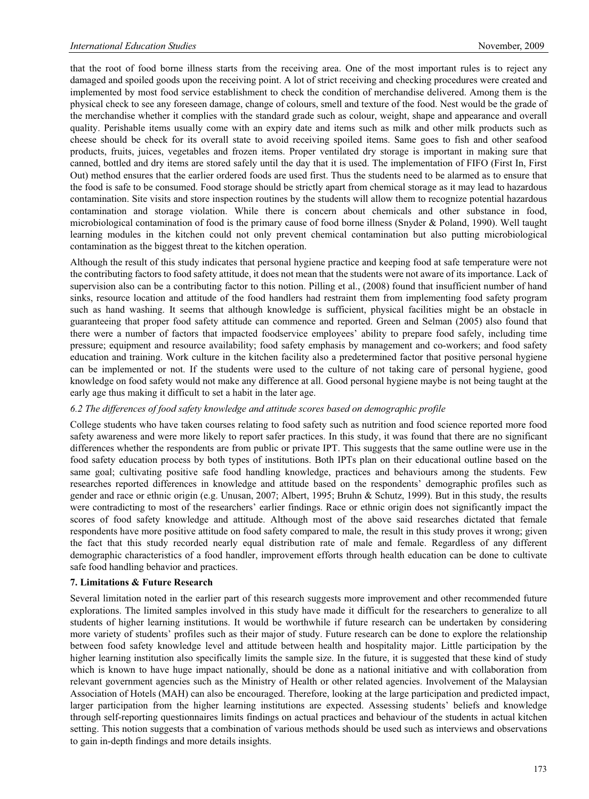that the root of food borne illness starts from the receiving area. One of the most important rules is to reject any damaged and spoiled goods upon the receiving point. A lot of strict receiving and checking procedures were created and implemented by most food service establishment to check the condition of merchandise delivered. Among them is the physical check to see any foreseen damage, change of colours, smell and texture of the food. Nest would be the grade of the merchandise whether it complies with the standard grade such as colour, weight, shape and appearance and overall quality. Perishable items usually come with an expiry date and items such as milk and other milk products such as cheese should be check for its overall state to avoid receiving spoiled items. Same goes to fish and other seafood products, fruits, juices, vegetables and frozen items. Proper ventilated dry storage is important in making sure that canned, bottled and dry items are stored safely until the day that it is used. The implementation of FIFO (First In, First Out) method ensures that the earlier ordered foods are used first. Thus the students need to be alarmed as to ensure that the food is safe to be consumed. Food storage should be strictly apart from chemical storage as it may lead to hazardous contamination. Site visits and store inspection routines by the students will allow them to recognize potential hazardous contamination and storage violation. While there is concern about chemicals and other substance in food, microbiological contamination of food is the primary cause of food borne illness (Snyder & Poland, 1990). Well taught learning modules in the kitchen could not only prevent chemical contamination but also putting microbiological contamination as the biggest threat to the kitchen operation.

Although the result of this study indicates that personal hygiene practice and keeping food at safe temperature were not the contributing factors to food safety attitude, it does not mean that the students were not aware of its importance. Lack of supervision also can be a contributing factor to this notion. Pilling et al., (2008) found that insufficient number of hand sinks, resource location and attitude of the food handlers had restraint them from implementing food safety program such as hand washing. It seems that although knowledge is sufficient, physical facilities might be an obstacle in guaranteeing that proper food safety attitude can commence and reported. Green and Selman (2005) also found that there were a number of factors that impacted foodservice employees' ability to prepare food safely, including time pressure; equipment and resource availability; food safety emphasis by management and co-workers; and food safety education and training. Work culture in the kitchen facility also a predetermined factor that positive personal hygiene can be implemented or not. If the students were used to the culture of not taking care of personal hygiene, good knowledge on food safety would not make any difference at all. Good personal hygiene maybe is not being taught at the early age thus making it difficult to set a habit in the later age.

#### *6.2 The differences of food safety knowledge and attitude scores based on demographic profile*

College students who have taken courses relating to food safety such as nutrition and food science reported more food safety awareness and were more likely to report safer practices. In this study, it was found that there are no significant differences whether the respondents are from public or private IPT. This suggests that the same outline were use in the food safety education process by both types of institutions. Both IPTs plan on their educational outline based on the same goal; cultivating positive safe food handling knowledge, practices and behaviours among the students. Few researches reported differences in knowledge and attitude based on the respondents' demographic profiles such as gender and race or ethnic origin (e.g. Unusan, 2007; Albert, 1995; Bruhn & Schutz, 1999). But in this study, the results were contradicting to most of the researchers' earlier findings. Race or ethnic origin does not significantly impact the scores of food safety knowledge and attitude. Although most of the above said researches dictated that female respondents have more positive attitude on food safety compared to male, the result in this study proves it wrong; given the fact that this study recorded nearly equal distribution rate of male and female. Regardless of any different demographic characteristics of a food handler, improvement efforts through health education can be done to cultivate safe food handling behavior and practices.

#### **7. Limitations & Future Research**

Several limitation noted in the earlier part of this research suggests more improvement and other recommended future explorations. The limited samples involved in this study have made it difficult for the researchers to generalize to all students of higher learning institutions. It would be worthwhile if future research can be undertaken by considering more variety of students' profiles such as their major of study. Future research can be done to explore the relationship between food safety knowledge level and attitude between health and hospitality major. Little participation by the higher learning institution also specifically limits the sample size. In the future, it is suggested that these kind of study which is known to have huge impact nationally, should be done as a national initiative and with collaboration from relevant government agencies such as the Ministry of Health or other related agencies. Involvement of the Malaysian Association of Hotels (MAH) can also be encouraged. Therefore, looking at the large participation and predicted impact, larger participation from the higher learning institutions are expected. Assessing students' beliefs and knowledge through self-reporting questionnaires limits findings on actual practices and behaviour of the students in actual kitchen setting. This notion suggests that a combination of various methods should be used such as interviews and observations to gain in-depth findings and more details insights.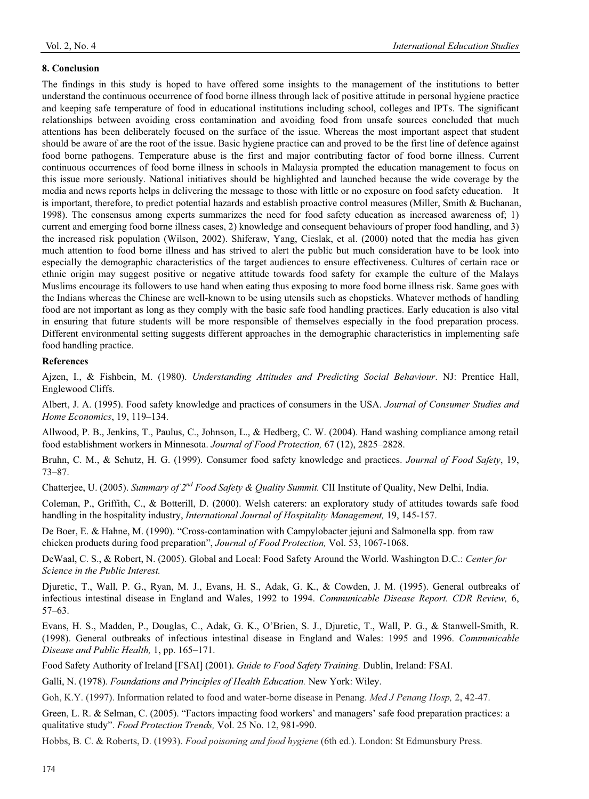#### **8. Conclusion**

The findings in this study is hoped to have offered some insights to the management of the institutions to better understand the continuous occurrence of food borne illness through lack of positive attitude in personal hygiene practice and keeping safe temperature of food in educational institutions including school, colleges and IPTs. The significant relationships between avoiding cross contamination and avoiding food from unsafe sources concluded that much attentions has been deliberately focused on the surface of the issue. Whereas the most important aspect that student should be aware of are the root of the issue. Basic hygiene practice can and proved to be the first line of defence against food borne pathogens. Temperature abuse is the first and major contributing factor of food borne illness. Current continuous occurrences of food borne illness in schools in Malaysia prompted the education management to focus on this issue more seriously. National initiatives should be highlighted and launched because the wide coverage by the media and news reports helps in delivering the message to those with little or no exposure on food safety education. It is important, therefore, to predict potential hazards and establish proactive control measures (Miller, Smith & Buchanan, 1998). The consensus among experts summarizes the need for food safety education as increased awareness of; 1) current and emerging food borne illness cases, 2) knowledge and consequent behaviours of proper food handling, and 3) the increased risk population (Wilson, 2002). Shiferaw, Yang, Cieslak, et al. (2000) noted that the media has given much attention to food borne illness and has strived to alert the public but much consideration have to be look into especially the demographic characteristics of the target audiences to ensure effectiveness. Cultures of certain race or ethnic origin may suggest positive or negative attitude towards food safety for example the culture of the Malays Muslims encourage its followers to use hand when eating thus exposing to more food borne illness risk. Same goes with the Indians whereas the Chinese are well-known to be using utensils such as chopsticks. Whatever methods of handling food are not important as long as they comply with the basic safe food handling practices. Early education is also vital in ensuring that future students will be more responsible of themselves especially in the food preparation process. Different environmental setting suggests different approaches in the demographic characteristics in implementing safe food handling practice.

#### **References**

Ajzen, I., & Fishbein, M. (1980). *Understanding Attitudes and Predicting Social Behaviour*. NJ: Prentice Hall, Englewood Cliffs.

Albert, J. A. (1995). Food safety knowledge and practices of consumers in the USA. *Journal of Consumer Studies and Home Economics*, 19, 119–134.

Allwood, P. B., Jenkins, T., Paulus, C., Johnson, L., & Hedberg, C. W. (2004). Hand washing compliance among retail food establishment workers in Minnesota. *Journal of Food Protection,* 67 (12), 2825–2828.

Bruhn, C. M., & Schutz, H. G. (1999). Consumer food safety knowledge and practices. *Journal of Food Safety*, 19, 73–87.

Chatterjee, U. (2005). *Summary of 2nd Food Safety & Quality Summit.* CII Institute of Quality, New Delhi, India.

Coleman, P., Griffith, C., & Botterill, D. (2000). Welsh caterers: an exploratory study of attitudes towards safe food handling in the hospitality industry, *International Journal of Hospitality Management,* 19, 145-157.

De Boer, E. & Hahne, M. (1990). "Cross-contamination with Campylobacter jejuni and Salmonella spp. from raw chicken products during food preparation", *Journal of Food Protection,* Vol. 53, 1067-1068.

DeWaal, C. S., & Robert, N. (2005). Global and Local: Food Safety Around the World. Washington D.C.: *Center for Science in the Public Interest.*

Djuretic, T., Wall, P. G., Ryan, M. J., Evans, H. S., Adak, G. K., & Cowden, J. M. (1995). General outbreaks of infectious intestinal disease in England and Wales, 1992 to 1994. *Communicable Disease Report. CDR Review,* 6, 57–63.

Evans, H. S., Madden, P., Douglas, C., Adak, G. K., O'Brien, S. J., Djuretic, T., Wall, P. G., & Stanwell-Smith, R. (1998). General outbreaks of infectious intestinal disease in England and Wales: 1995 and 1996. *Communicable Disease and Public Health,* 1, pp. 165–171.

Food Safety Authority of Ireland [FSAI] (2001). *Guide to Food Safety Training.* Dublin, Ireland: FSAI.

Galli, N. (1978). *Foundations and Principles of Health Education.* New York: Wiley.

Goh, K.Y. (1997). Information related to food and water-borne disease in Penang. *Med J Penang Hosp,* 2, 42-47.

Green, L. R. & Selman, C. (2005). "Factors impacting food workers' and managers' safe food preparation practices: a qualitative study". *Food Protection Trends,* Vol. 25 No. 12, 981-990.

Hobbs, B. C. & Roberts, D. (1993). *Food poisoning and food hygiene* (6th ed.). London: St Edmunsbury Press.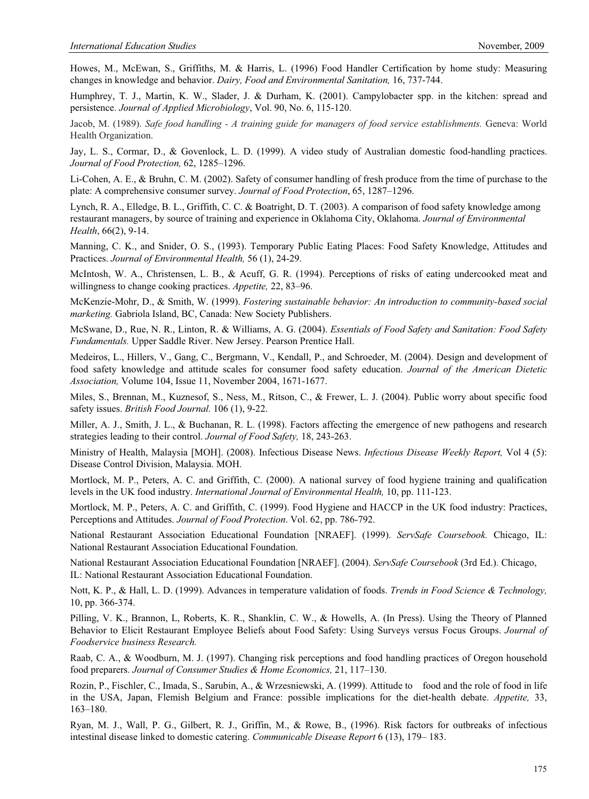Howes, M., McEwan, S., Griffiths, M. & Harris, L. (1996) Food Handler Certification by home study: Measuring changes in knowledge and behavior. *Dairy, Food and Environmental Sanitation,* 16, 737-744.

Humphrey, T. J., Martin, K. W., Slader, J. & Durham, K. (2001). Campylobacter spp. in the kitchen: spread and persistence. *Journal of Applied Microbiology*, Vol. 90, No. 6, 115-120.

Jacob, M. (1989). *Safe food handling - A training guide for managers of food service establishments.* Geneva: World Health Organization.

Jay, L. S., Cormar, D., & Govenlock, L. D. (1999). A video study of Australian domestic food-handling practices. *Journal of Food Protection,* 62, 1285–1296.

Li-Cohen, A. E., & Bruhn, C. M. (2002). Safety of consumer handling of fresh produce from the time of purchase to the plate: A comprehensive consumer survey. *Journal of Food Protection*, 65, 1287–1296.

Lynch, R. A., Elledge, B. L., Griffith, C. C. & Boatright, D. T. (2003). A comparison of food safety knowledge among restaurant managers, by source of training and experience in Oklahoma City, Oklahoma. *Journal of Environmental Health*, 66(2), 9-14.

Manning, C. K., and Snider, O. S., (1993). Temporary Public Eating Places: Food Safety Knowledge, Attitudes and Practices. *Journal of Environmental Health,* 56 (1), 24-29.

McIntosh, W. A., Christensen, L. B., & Acuff, G. R. (1994). Perceptions of risks of eating undercooked meat and willingness to change cooking practices. *Appetite,* 22, 83–96.

McKenzie-Mohr, D., & Smith, W. (1999). *Fostering sustainable behavior: An introduction to community-based social marketing.* Gabriola Island, BC, Canada: New Society Publishers.

McSwane, D., Rue, N. R., Linton, R. & Williams, A. G. (2004). *Essentials of Food Safety and Sanitation: Food Safety Fundamentals.* Upper Saddle River. New Jersey. Pearson Prentice Hall.

Medeiros, L., Hillers, V., Gang, C., Bergmann, V., Kendall, P., and Schroeder, M. (2004). Design and development of food safety knowledge and attitude scales for consumer food safety education. *Journal of the American Dietetic Association,* Volume 104, Issue 11, November 2004, 1671-1677.

Miles, S., Brennan, M., Kuznesof, S., Ness, M., Ritson, C., & Frewer, L. J. (2004). Public worry about specific food safety issues. *British Food Journal.* 106 (1), 9-22.

Miller, A. J., Smith, J. L., & Buchanan, R. L. (1998). Factors affecting the emergence of new pathogens and research strategies leading to their control. *Journal of Food Safety,* 18, 243-263.

Ministry of Health, Malaysia [MOH]. (2008). Infectious Disease News. *Infectious Disease Weekly Report,* Vol 4 (5): Disease Control Division, Malaysia. MOH.

Mortlock, M. P., Peters, A. C. and Griffith, C. (2000). A national survey of food hygiene training and qualification levels in the UK food industry. *International Journal of Environmental Health,* 10, pp. 111-123.

Mortlock, M. P., Peters, A. C. and Griffith, C. (1999). Food Hygiene and HACCP in the UK food industry: Practices, Perceptions and Attitudes. *Journal of Food Protection*. Vol. 62, pp. 786-792.

National Restaurant Association Educational Foundation [NRAEF]. (1999). *ServSafe Coursebook.* Chicago, IL: National Restaurant Association Educational Foundation.

National Restaurant Association Educational Foundation [NRAEF]. (2004). *ServSafe Coursebook* (3rd Ed.). Chicago, IL: National Restaurant Association Educational Foundation.

Nott, K. P., & Hall, L. D. (1999). Advances in temperature validation of foods. *Trends in Food Science & Technology,* 10, pp. 366-374.

Pilling, V. K., Brannon, L, Roberts, K. R., Shanklin, C. W., & Howells, A. (In Press). Using the Theory of Planned Behavior to Elicit Restaurant Employee Beliefs about Food Safety: Using Surveys versus Focus Groups. *Journal of Foodservice business Research.* 

Raab, C. A., & Woodburn, M. J. (1997). Changing risk perceptions and food handling practices of Oregon household food preparers. *Journal of Consumer Studies & Home Economics,* 21, 117–130.

Rozin, P., Fischler, C., Imada, S., Sarubin, A., & Wrzesniewski, A. (1999). Attitude to food and the role of food in life in the USA, Japan, Flemish Belgium and France: possible implications for the diet-health debate. *Appetite,* 33, 163–180.

Ryan, M. J., Wall, P. G., Gilbert, R. J., Griffin, M., & Rowe, B., (1996). Risk factors for outbreaks of infectious intestinal disease linked to domestic catering. *Communicable Disease Report* 6 (13), 179– 183.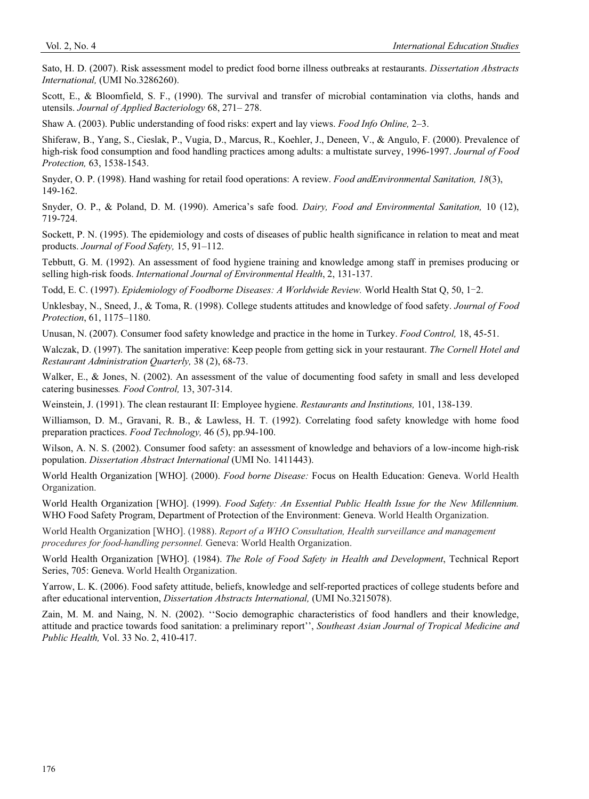Sato, H. D. (2007). Risk assessment model to predict food borne illness outbreaks at restaurants. *Dissertation Abstracts International,* (UMI No.3286260).

Scott, E., & Bloomfield, S. F., (1990). The survival and transfer of microbial contamination via cloths, hands and utensils. *Journal of Applied Bacteriology* 68, 271– 278.

Shaw A. (2003). Public understanding of food risks: expert and lay views. *Food Info Online,* 2–3.

Shiferaw, B., Yang, S., Cieslak, P., Vugia, D., Marcus, R., Koehler, J., Deneen, V., & Angulo, F. (2000). Prevalence of high-risk food consumption and food handling practices among adults: a multistate survey, 1996-1997. *Journal of Food Protection,* 63, 1538-1543.

Snyder, O. P. (1998). Hand washing for retail food operations: A review. *Food andEnvironmental Sanitation, 18*(3), 149-162.

Snyder, O. P., & Poland, D. M. (1990). America's safe food. *Dairy, Food and Environmental Sanitation,* 10 (12), 719-724.

Sockett, P. N. (1995). The epidemiology and costs of diseases of public health significance in relation to meat and meat products. *Journal of Food Safety,* 15, 91–112.

Tebbutt, G. M. (1992). An assessment of food hygiene training and knowledge among staff in premises producing or selling high-risk foods. *International Journal of Environmental Health*, 2, 131-137.

Todd, E. C. (1997). *Epidemiology of Foodborne Diseases: A Worldwide Review.* World Health Stat Q, 50, 12.

Unklesbay, N., Sneed, J., & Toma, R. (1998). College students attitudes and knowledge of food safety. *Journal of Food Protection*, 61, 1175–1180.

Unusan, N. (2007). Consumer food safety knowledge and practice in the home in Turkey. *Food Control,* 18, 45-51.

Walczak, D. (1997). The sanitation imperative: Keep people from getting sick in your restaurant. *The Cornell Hotel and Restaurant Administration Quarterly,* 38 (2), 68-73.

Walker, E., & Jones, N. (2002). An assessment of the value of documenting food safety in small and less developed catering businesses*. Food Control,* 13, 307-314.

Weinstein, J. (1991). The clean restaurant II: Employee hygiene. *Restaurants and Institutions,* 101, 138-139.

Williamson, D. M., Gravani, R. B., & Lawless, H. T. (1992). Correlating food safety knowledge with home food preparation practices. *Food Technology,* 46 (5), pp.94-100.

Wilson, A. N. S. (2002). Consumer food safety: an assessment of knowledge and behaviors of a low-income high-risk population. *Dissertation Abstract International* (UMI No. 1411443).

World Health Organization [WHO]. (2000). *Food borne Disease:* Focus on Health Education: Geneva. World Health Organization.

World Health Organization [WHO]. (1999). *Food Safety: An Essential Public Health Issue for the New Millennium.* WHO Food Safety Program, Department of Protection of the Environment: Geneva. World Health Organization.

World Health Organization [WHO]. (1988). *Report of a WHO Consultation, Health surveillance and management procedures for food-handling personnel.* Geneva: World Health Organization.

World Health Organization [WHO]. (1984). *The Role of Food Safety in Health and Development*, Technical Report Series, 705: Geneva. World Health Organization.

Yarrow, L. K. (2006). Food safety attitude, beliefs, knowledge and self-reported practices of college students before and after educational intervention, *Dissertation Abstracts International,* (UMI No.3215078).

Zain, M. M. and Naing, N. N. (2002). ''Socio demographic characteristics of food handlers and their knowledge, attitude and practice towards food sanitation: a preliminary report'', *Southeast Asian Journal of Tropical Medicine and Public Health,* Vol. 33 No. 2, 410-417.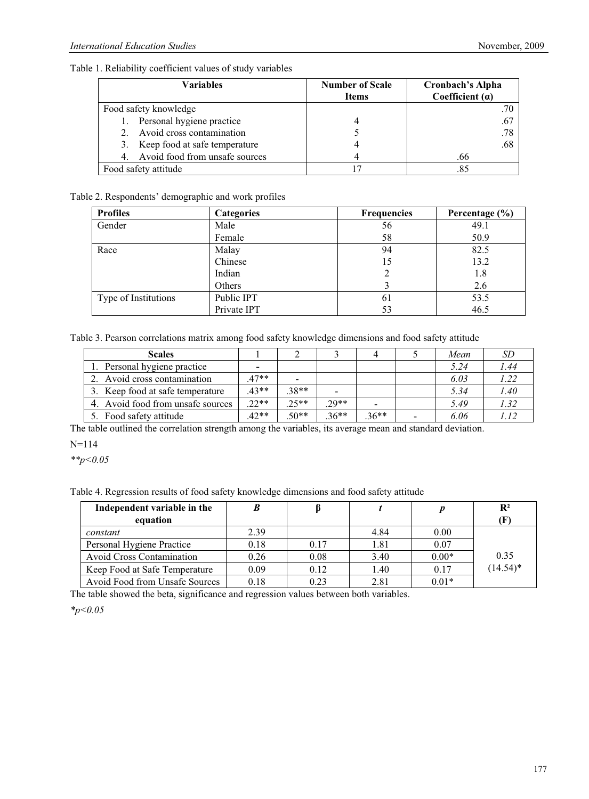#### Table 1. Reliability coefficient values of study variables

| <b>Variables</b>                     | <b>Number of Scale</b> | Cronbach's Alpha  |  |
|--------------------------------------|------------------------|-------------------|--|
|                                      | <b>Items</b>           | Coefficient $(a)$ |  |
| Food safety knowledge                |                        |                   |  |
| Personal hygiene practice            |                        |                   |  |
| Avoid cross contamination            |                        |                   |  |
| Keep food at safe temperature        |                        | .68               |  |
| Avoid food from unsafe sources<br>4. |                        | .66               |  |
| Food safety attitude                 |                        | .85               |  |

| <b>Profiles</b>      | <b>Categories</b> | <b>Frequencies</b> | Percentage $(\% )$ |
|----------------------|-------------------|--------------------|--------------------|
| Gender               | Male              | 56                 | 49.1               |
|                      | Female            | 58                 | 50.9               |
| Race                 | Malay             | 94                 | 82.5               |
|                      | Chinese           | 15                 | 13.2               |
|                      | Indian            |                    | 1.8                |
|                      | Others            |                    | 2.6                |
| Type of Institutions | Public IPT        | 61                 | 53.5               |
|                      | Private IPT       | 53                 | 46.5               |

Table 3. Pearson correlations matrix among food safety knowledge dimensions and food safety attitude

| <b>Scales</b>                     |                          |                              |         |                          | Mean | SD   |
|-----------------------------------|--------------------------|------------------------------|---------|--------------------------|------|------|
| 1. Personal hygiene practice      | $\overline{\phantom{0}}$ |                              |         |                          | 5.24 | 1.44 |
| 2. Avoid cross contamination      | $47**$                   | $\qquad \qquad \blacksquare$ |         |                          | 6.03 | 1.22 |
| 3. Keep food at safe temperature  | $43**$                   | 38**                         |         |                          | 5.34 | 1.40 |
| 4. Avoid food from unsafe sources | $.22**$                  | $25**$                       | 29**    | $\overline{\phantom{a}}$ | 5.49 | 1.32 |
| 5. Food safety attitude           | $.42**$                  | $50**$                       | $.36**$ | $.36**$                  | 6.06 | 1.12 |

The table outlined the correlation strength among the variables, its average mean and standard deviation.

N=114

*\*\*p<0.05* 

Table 4. Regression results of food safety knowledge dimensions and food safety attitude

| Independent variable in the      |      |      |      |         | $\mathbf{R}^2$ |
|----------------------------------|------|------|------|---------|----------------|
| equation                         |      |      |      |         |                |
| constant                         | 2.39 |      | 4.84 | 0.00    |                |
| Personal Hygiene Practice        | 0.18 | 0.17 | 1.81 | 0.07    |                |
| <b>Avoid Cross Contamination</b> | 0.26 | 0.08 | 3.40 | $0.00*$ | 0.35           |
| Keep Food at Safe Temperature    | 0.09 | 0.12 | 1.40 | 0.17    | $(14.54)^*$    |
| Avoid Food from Unsafe Sources   | 0.18 | 0.23 | 2.81 | $0.01*$ |                |

The table showed the beta, significance and regression values between both variables.

*\*p<0.05*